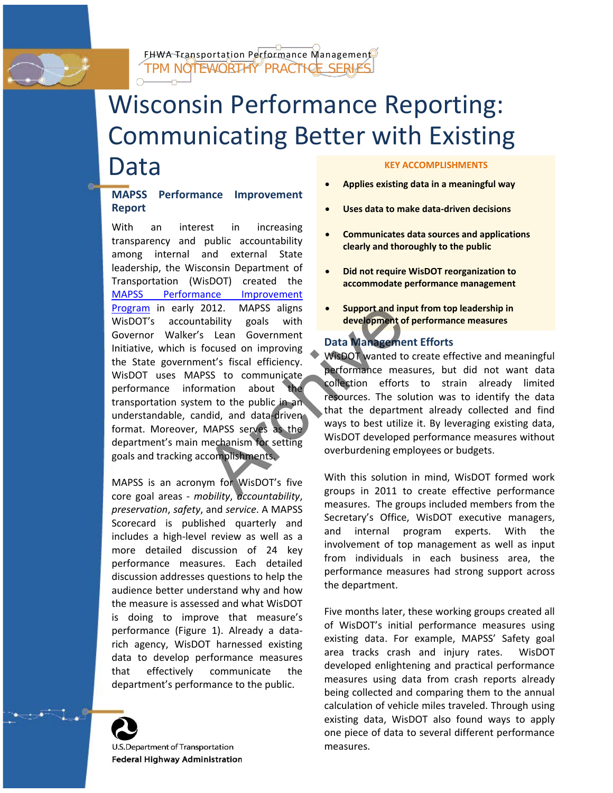

FHWA Transportation Performance Management TPM NOTEWORTHY PRACTICE SERIE

# Wisconsin Performance Reporting: Communicating Better with Existing Data **KEY ACCOMPLISHMENTS**

## **MAPSS Performance Improvement Report**

With an interest in increasing transparency and public accountability among internal and external State leadership, the Wisconsin Department of Transportation (WisDOT) created the [MAPSS Performance Improvement](http://www.mapss.wi.gov/)  [Program](http://www.mapss.wi.gov/) in early 2012. MAPSS aligns WisDOT's accountability goals with Governor Walker's Lean Government Initiative, which is focused on improving the State government's fiscal efficiency. WisDOT uses MAPSS to communicate performance information about the transportation system to the public in an understandable, candid, and data-driven format. Moreover, MAPSS serves as the department's main mechanism for setting goals and tracking accomplishments. 2012. MAPSS aligns<br>
tability goals with<br>
itability goals with<br>
itability goals with<br>
itability development<br>
focused on improving<br>
Posta Manageme<br>
ment's fiscal efficiency.<br>
Posta Manageme<br>
MAPSS to communicate<br>
methanism t

MAPSS is an acronym for WisDOT's five core goal areas - *mobility*, *accountability*, *preservation*, *safety*, and *service*. A MAPSS Scorecard is published quarterly and includes a high-level review as well as a more detailed discussion of 24 key performance measures. Each detailed discussion addresses questions to help the audience better understand why and how the measure is assessed and what WisDOT is doing to improve that measure's performance [\(Figure 1\)](#page-1-0). Already a datarich agency, WisDOT harnessed existing data to develop performance measures that effectively communicate the department's performance to the public.



U.S.Department of Transportation **Federal Highway Administration** 

- **Applies existing data in a meaningful way**
- **Uses data to make data-driven decisions**
- **Communicates data sources and applications clearly and thoroughly to the public**
- **Did not require WisDOT reorganization to accommodate performance management**
- **Support and input from top leadership in development of performance measures**

# **Data Management Efforts**

WisDOT wanted to create effective and meaningful performance measures, but did not want data collection efforts to strain already limited resources. The solution was to identify the data that the department already collected and find ways to best utilize it. By leveraging existing data, WisDOT developed performance measures without overburdening employees or budgets.

With this solution in mind, WisDOT formed work groups in 2011 to create effective performance measures. The groups included members from the Secretary's Office, WisDOT executive managers, and internal program experts. With the involvement of top management as well as input from individuals in each business area, the performance measures had strong support across the department.

Five months later, these working groups created all of WisDOT's initial performance measures using existing data. For example, MAPSS' Safety goal area tracks crash and injury rates. WisDOT developed enlightening and practical performance measures using data from crash reports already being collected and comparing them to the annual calculation of vehicle miles traveled. Through using existing data, WisDOT also found ways to apply one piece of data to several different performance measures.